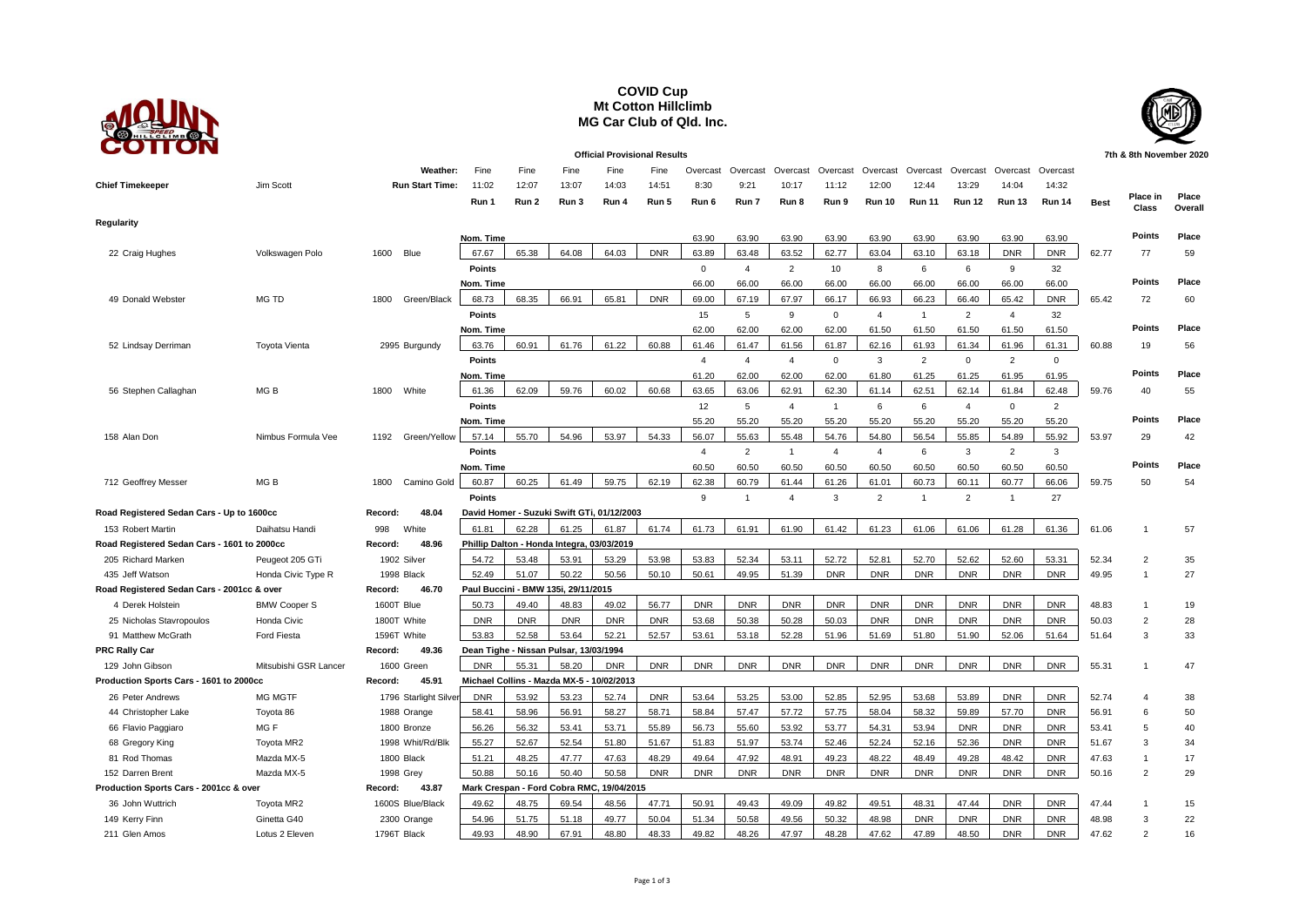## **COVID Cup Mt Cotton Hillclimb MG Car Club of Qld. Inc.**



**Official Provisional Results 7th & 8th November 2020 Weather:** Fine Fine Fine Fine Fine Overcast Overcast Overcast Overcast Overcast Overcast Overcast Overcast Overcast **Chief Timekeeper** Jim Scott **Run Start Time:** 11:02 12:07 13:07 14:03 14:51 8:30 9:21 10:17 11:12 12:00 12:44 13:29 14:04 14:32 **Run 1 Run 2 Run 3 Run 4 Run 5 Run 6 Run 7 Run 8 Run 9 Run 10 Run 11 Run 12 Run 13 Run 14 Best Place in Class Place Overall Regularity Nom. Time** 63.90 63.90 63.90 63.90 63.90 63.90 63.90 63.90 63.90 **Points Place** 22 Craig Hughes Volkswagen Polo 1600 Blue 67.67 65.38 64.08 64.03 DNR 63.89 63.48 63.52 62.77 63.04 63.10 63.18 DNR DNR 62.77 77 59 **Points** 0 4 2 10 8 6 6 9 32 **Nom. Time** 66.00 66.00 66.00 66.00 66.00 66.00 66.00 66.00 66.00 **Points Place** 49 Donald Webster MG TD 1800 Green/Black 68.73 | 68.35 | 66.91 | 65.81 | DNR | 69.00 | 67.97 | 66.17 | 66.93 | 66.23 | 66.40 | 65.42 | DNR ] 65.42 72 60 **Points** 15 5 9 0 4 1 2 4 32 **Nom. Time** 62.00 62.00 62.00 62.00 61.50 61.50 61.50 61.50 61.50 **Points Place** 52 Lindsay Derriman Toyota Vienta 2995 Burgundy 63.76 60.91 61.76 61.22 60.88 61.46 61.47 61.56 61.87 62.16 61.93 61.34 61.96 61.31 60.88 19 56 **Points** 4 4 4 0 3 2 0 2 0 **Nom. Time** 61.20 62.00 62.00 62.00 61.80 61.25 61.25 61.95 61.95 **Points Place** 56 Stephen Callaghan MG B 1800 White | 61.36 | 62.09 | 59.76 | 60.02 | 60.68 | 63.65 | 63.06 | 62.91 | 62.30 | 61.14 | 62.51 | 62.14 | 61.84 | 62.48 | 59.76 40 55 **Points** 12 5 4 1 6 6 4 0 2 **Nom. Time** 55.20 55.20 55.20 55.20 55.20 55.20 55.20 55.20 55.20 **Points Place** 158 Alan Don Nimbus Formula Vee 1192 Green/Yellow <u>| 57.14 | 55.70 | 54.96 | 54.30 | 55.63 | 55.63 | 54.86 | 55.85 | 55.85 | 55.85 | 55.92 | 53.97 29 42</u> **Points** 2 4 2 1 4 4 4 6 3 2 3 **Nom. Time** 60.50 60.50 60.50 60.50 60.50 60.50 60.50 60.50 60.50 **Points Place** 712 Geoffrey Messer MG B 1800 Camino Gold <mark>| 60.87 | 60.25 | 61.49 | 59.75 | 62.19 | 62.38 | 60.79 | 61.44 | 61.26 | 61.01 | 60.73 | 60.11 | 60.77 | 66.06 | 59.75 50 54</mark> **Points** 9 1 4 3 2 1 2 1 27 **Road Registered Sedan Cars - Up to 1600cc Record: 48.04 David Homer - Suzuki Swift GTi, 01/12/2003** 153 Robert Martin Daihatsu Handi 998 White 61.81 62.28 61.25 61.87 61.74 61.73 61.91 61.90 61.42 61.23 61.06 61.06 61.28 61.36 61.06 1 57 **Road Registered Sedan Cars - 1601 to 2000cc Record: 48.96 Phillip Dalton - Honda Integra, 03/03/2019** 205 Richard Marken Peugeot 205 GTi 1902 Silver 54.72 53.48 53.91 53.29 53.98 53.83 52.34 53.11 52.72 52.81 52.70 52.62 52.60 53.31 52.34 2 35 435 Jeff Watson Honda Civic Type R 1998 Black <u>52.49 | 51.07 | 50.22 | 50.56 | 50.61 | 49.95 | 50.19 | DNR | DNR | DNR | DNR | DNR | DNR | DNR | DNR | 49.95 1 27</u> **Road Registered Sedan Cars - 2001cc & over Record: 46.70 Paul Buccini - BMW 135i, 29/11/2015** 4 Derek Holstein BMW Cooper S 1600T Blue 50.73 49.40 48.83 49.02 56.77 DNR DNR DNR DNR DNR DNR DNR DNR DNR 48.83 1 19 25 Nicholas Stavropoulos Honda Civic 1800T White <u>NDNR NONR NONR NONR NONR NONRN 53.68 N 50.28 N 50.28 N 50.03 NONRN DNRN DNRN DNRNN 50.03 2 28</u> 91 Matthew McGrath Ford Fiesta 1596T White 53.83 52.58 53.64 52.21 52.57 53.61 53.18 52.28 51.96 51.69 51.80 51.90 52.06 51.64 51.64 3 33 **PRC Rally Car Record: 49.36 Dean Tighe - Nissan Pulsar, 13/03/1994** 129 John Gibson Mitsubishi GSR Lancer 1600 Green <mark>DNR | 55.31 | 58.20 | DNR | DNR | DNR | DNR | DNR | DNR | DNR | DNR | DNR | DNR | 55.31 1 47</mark> **Production Sports Cars - 1601 to 2000cc Record: 45.91 Michael Collins - Mazda MX-5 - 10/02/2013** 26 Peter Andrews MG MGTF 1796 Starlight Silver <u>| DNR | 53.92 | 53.23 | 52.74 | DNR | 53.64 | 53.25 | 53.00 | 52.85 | 53.85 | 53.68 | 53.89 | DNR | DNR | 52.74 4 38</u> 44 Christopher Lake Toyota 86 1988 Orange <u>[ 58.41 ] 58.96 ] 56.91 ] 58.27 ] 58.71 ] 57.47 ] 57.72 ] 57.75 ] 58.04 ] 58.32 ] 59.89 ] 57.70 ] DNR ] 56.91 6 50</u> 66 Flavio Paggiaro MG F 1800 Bronze 56.26 56.32 53.41 53.71 55.89 56.73 55.60 53.92 53.77 54.31 53.94 DNR DNR DNR 53.41 5 40 68 Gregory King Toyota MR2 1998 Whit/Rd/Blk <u>55.27 52.54 51.80 51.67 51.67 53.74 52.74 52.16 52.16 52.36 DNR DNR 51.67 3 34</u> 81 Rod Thomas Mazda MX-5 1800 Black | 51.21 | 48.25 | 47.77 | 47.63 | 48.29 | 49.64 | 47.92 | 48.91 | 49.23 | 48.42 | 48.49 | 48.42 | DNR | 47.63 1 17 152 Darren Brent Mazda MX-5 1998 Grey 50.88 50.16 50.40 50.58 DNR DNR DNR DNR DNR DNR DNR DNR DNR DNR 50.16 2 29 **Production Sports Cars - 2001cc & over Record: 43.87 Mark Crespan - Ford Cobra RMC, 19/04/2015** 36 John Wuttrich Toyota MR2 1600S Blue/Black 49.62 48.75 69.54 43.56 47.71 50.91 49.49 49.99 49.82 49.51 48.31 47.44 DNR DNR 0NR 47.44 1 15 149 Kerry Finn Ginetta G40 2300 Orange 54.96 51.75 51.18 49.77 50.04 51.34 50.58 49.56 50.32 48.98 DNR DNR DNR DNR 48.98 3 22 211 Glen Amos Lotus 2 Eleven 1796T Black <mark> 49.93 | 48.90 | 67.91 | 48.80 | 48.33 | 49.82 | 47.97 | 48.28 | 47.62 | 47.89 | 48.50 | DNR | DNR | 47.62 2 16</mark>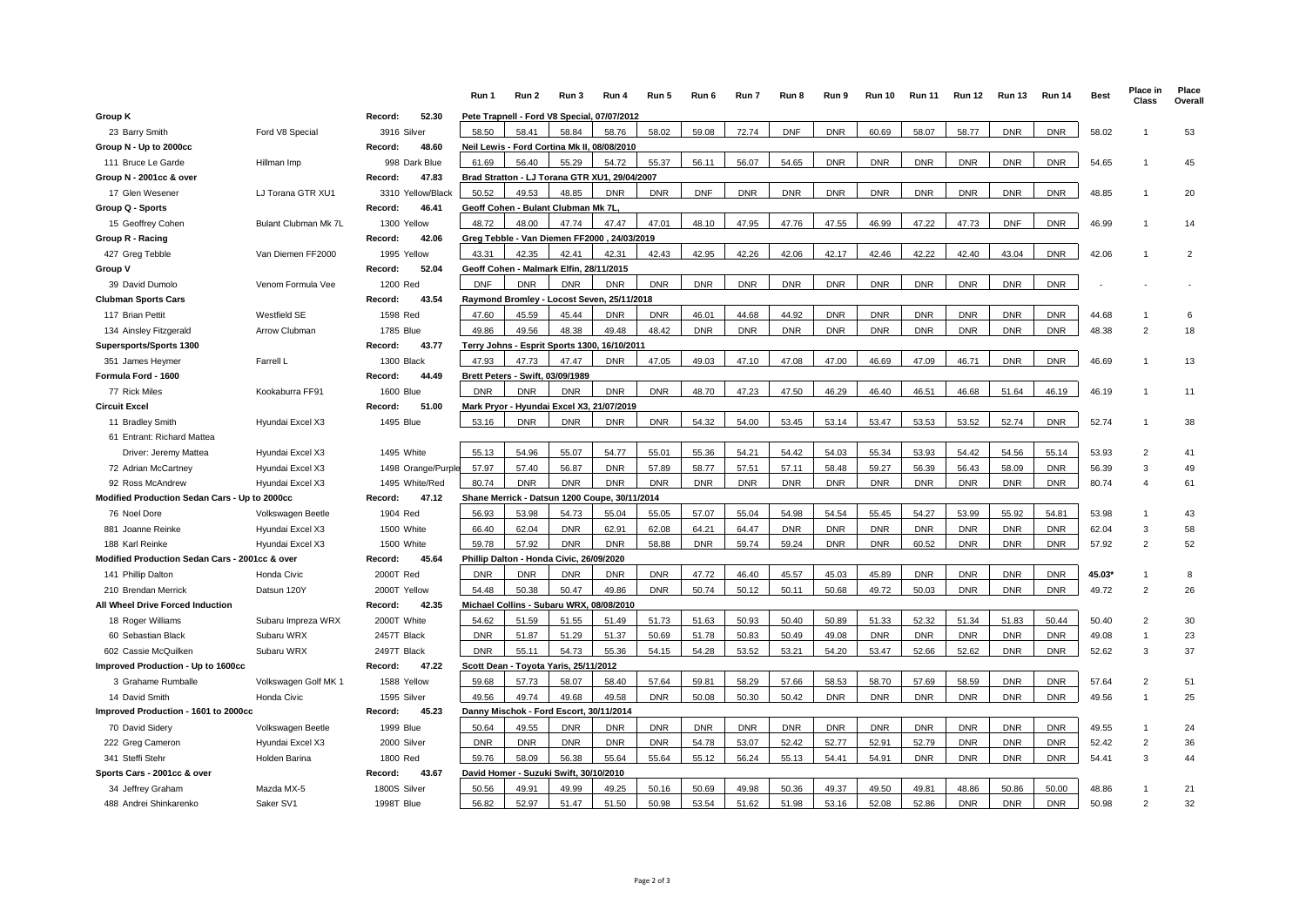|                                                |                      |                                 | Run 1                                 | Run 2                                    | Run 3                                         | Run 4                                         | Run 5      | Run 6      | Run 7      | Run 8      | Run 9      | <b>Run 10</b> | <b>Run 11</b> | <b>Run 12</b> | <b>Run 13</b> | <b>Run 14</b> | <b>Best</b> | Place in<br>Class | Place<br>Overall |
|------------------------------------------------|----------------------|---------------------------------|---------------------------------------|------------------------------------------|-----------------------------------------------|-----------------------------------------------|------------|------------|------------|------------|------------|---------------|---------------|---------------|---------------|---------------|-------------|-------------------|------------------|
| <b>Group K</b>                                 |                      | Record:<br>52.30                |                                       |                                          |                                               | Pete Trapnell - Ford V8 Special, 07/07/2012   |            |            |            |            |            |               |               |               |               |               |             |                   |                  |
| 23 Barry Smith                                 | Ford V8 Special      | 3916 Silver                     | 58.50                                 | 58.41                                    | 58.84                                         | 58.76                                         | 58.02      | 59.08      | 72.74      | <b>DNF</b> | <b>DNR</b> | 60.69         | 58.07         | 58.77         | <b>DNR</b>    | <b>DNR</b>    | 58.02       |                   | 53               |
| Group N - Up to 2000cc                         |                      | 48.60<br>Record:                |                                       |                                          |                                               | Neil Lewis - Ford Cortina Mk II, 08/08/2010   |            |            |            |            |            |               |               |               |               |               |             |                   |                  |
| 111 Bruce Le Garde                             | Hillman Imp          | 998 Dark Blue                   | 61.69                                 | 56.40                                    | 55.29                                         | 54.72                                         | 55.37      | 56.11      | 56.07      | 54.65      | <b>DNR</b> | <b>DNR</b>    | <b>DNR</b>    | <b>DNR</b>    | <b>DNR</b>    | <b>DNR</b>    | 54.65       |                   | 45               |
| Group N - 2001cc & over                        |                      | 47.83<br>Record:                |                                       |                                          |                                               | Brad Stratton - LJ Torana GTR XU1, 29/04/2007 |            |            |            |            |            |               |               |               |               |               |             |                   |                  |
| 17 Glen Wesener                                | LJ Torana GTR XU1    | 3310 Yellow/Black               | 50.52                                 | 49.53                                    | 48.85                                         | <b>DNR</b>                                    | <b>DNR</b> | <b>DNF</b> | <b>DNR</b> | <b>DNR</b> | <b>DNR</b> | <b>DNR</b>    | <b>DNR</b>    | <b>DNR</b>    | <b>DNR</b>    | <b>DNR</b>    | 48.85       |                   | 20               |
| Group Q - Sports                               |                      | 46.41<br>Record:                |                                       |                                          | Geoff Cohen - Bulant Clubman Mk 7L.           |                                               |            |            |            |            |            |               |               |               |               |               |             |                   |                  |
| 15 Geoffrey Cohen                              | Bulant Clubman Mk 7L | 1300 Yellow                     | 48.72                                 | 48.00                                    | 47.74                                         | 47.47                                         | 47.01      | 48.10      | 47.95      | 47.76      | 47.55      | 46.99         | 47.22         | 47.73         | <b>DNF</b>    | <b>DNR</b>    | 46.99       |                   | 14               |
| Group R - Racing                               |                      | 42.06<br>Record:                |                                       |                                          |                                               | Greg Tebble - Van Diemen FF2000, 24/03/2019   |            |            |            |            |            |               |               |               |               |               |             |                   |                  |
| 427 Greg Tebble                                | Van Diemen FF2000    | 1995 Yellow                     | 43.31                                 | 42.35                                    | 42.41                                         | 42.31                                         | 42.43      | 42.95      | 42.26      | 42.06      | 42.17      | 42.46         | 42.22         | 42.40         | 43.04         | <b>DNR</b>    | 42.06       |                   | $\overline{2}$   |
| Group V                                        |                      | 52.04<br>Record:                |                                       |                                          | Geoff Cohen - Malmark Elfin, 28/11/2015       |                                               |            |            |            |            |            |               |               |               |               |               |             |                   |                  |
| 39 David Dumolo                                | Venom Formula Vee    | 1200 Red                        | <b>DNF</b>                            | <b>DNR</b>                               | <b>DNR</b>                                    | <b>DNR</b>                                    | <b>DNR</b> | <b>DNR</b> | <b>DNR</b> | <b>DNR</b> | <b>DNR</b> | <b>DNR</b>    | <b>DNR</b>    | <b>DNR</b>    | <b>DNR</b>    | <b>DNR</b>    |             |                   |                  |
| <b>Clubman Sports Cars</b>                     |                      | Record:<br>43.54                |                                       |                                          |                                               | Raymond Bromley - Locost Seven, 25/11/2018    |            |            |            |            |            |               |               |               |               |               |             |                   |                  |
| 117 Brian Pettit                               | Westfield SE         | 1598 Red                        | 47.60                                 | 45.59                                    | 45.44                                         | <b>DNR</b>                                    | <b>DNR</b> | 46.01      | 44.68      | 44.92      | <b>DNR</b> | <b>DNR</b>    | <b>DNR</b>    | <b>DNR</b>    | <b>DNR</b>    | <b>DNR</b>    | 44.68       |                   | 6                |
| 134 Ainsley Fitzgerald                         | Arrow Clubman        | 1785 Blue                       | 49.86                                 | 49.56                                    | 48.38                                         | 49.48                                         | 48.42      | <b>DNR</b> | <b>DNR</b> | <b>DNR</b> | <b>DNR</b> | <b>DNR</b>    | <b>DNR</b>    | <b>DNR</b>    | <b>DNR</b>    | <b>DNR</b>    | 48.38       | $\mathfrak{p}$    | 18               |
| Supersports/Sports 1300                        |                      | 43.77<br>Record:                |                                       |                                          |                                               | Terry Johns - Esprit Sports 1300, 16/10/2011  |            |            |            |            |            |               |               |               |               |               |             |                   |                  |
| 351 James Heymer                               | Farrell L            | 1300 Black                      | 47.93                                 | 47.73                                    | 47.47                                         | <b>DNR</b>                                    | 47.05      | 49.03      | 47.10      | 47.08      | 47.00      | 46.69         | 47.09         | 46.71         | <b>DNR</b>    | <b>DNR</b>    | 46.69       |                   | 13               |
| Formula Ford - 1600                            |                      | 44.49<br>Record:                | Brett Peters - Swift, 03/09/1989      |                                          |                                               |                                               |            |            |            |            |            |               |               |               |               |               |             |                   |                  |
| 77 Rick Miles                                  | Kookaburra FF91      | <b>1600 Blue</b>                | <b>DNR</b>                            | <b>DNR</b>                               | <b>DNR</b>                                    | <b>DNR</b>                                    | <b>DNR</b> | 48.70      | 47.23      | 47.50      | 46.29      | 46.40         | 46.51         | 46.68         | 51.64         | 46.19         | 46.19       |                   | 11               |
| <b>Circuit Excel</b>                           |                      | 51.00<br>Record:                |                                       |                                          |                                               | Mark Pryor - Hyundai Excel X3, 21/07/2019     |            |            |            |            |            |               |               |               |               |               |             |                   |                  |
| 11 Bradley Smith                               | Hyundai Excel X3     | 1495 Blue                       | 53.16                                 | <b>DNR</b>                               | <b>DNR</b>                                    | <b>DNR</b>                                    | <b>DNR</b> | 54.32      | 54.00      | 53.45      | 53.14      | 53.47         | 53.53         | 53.52         | 52.74         | <b>DNR</b>    | 52.74       |                   | 38               |
| 61 Entrant: Richard Mattea                     |                      |                                 |                                       |                                          |                                               |                                               |            |            |            |            |            |               |               |               |               |               |             |                   |                  |
| Driver: Jeremy Mattea                          | Hyundai Excel X3     | 1495 White                      | 55.13                                 | 54.96                                    | 55.07                                         | 54.77                                         | 55.01      | 55.36      | 54.21      | 54.42      | 54.03      | 55.34         | 53.93         | 54.42         | 54.56         | 55.14         | 53.93       | $\overline{2}$    | 41               |
| 72 Adrian McCartney                            | Hyundai Excel X3     | 1498 Orange/Purple              | 57.97                                 | 57.40                                    | 56.87                                         | <b>DNR</b>                                    | 57.89      | 58.77      | 57.51      | 57.11      | 58.48      | 59.27         | 56.39         | 56.43         | 58.09         | <b>DNR</b>    | 56.39       | 3                 | 49               |
| 92 Ross McAndrew                               | Hyundai Excel X3     | 1495 White/Red                  | 80.74                                 | <b>DNR</b>                               | <b>DNR</b>                                    | <b>DNR</b>                                    | <b>DNR</b> | <b>DNR</b> | <b>DNR</b> | <b>DNR</b> | <b>DNR</b> | <b>DNR</b>    | <b>DNR</b>    | <b>DNR</b>    | <b>DNR</b>    | <b>DNR</b>    | 80.74       | 4                 | 61               |
| Modified Production Sedan Cars - Up to 2000cc  | 47.12<br>Record:     |                                 |                                       |                                          | Shane Merrick - Datsun 1200 Coupe, 30/11/2014 |                                               |            |            |            |            |            |               |               |               |               |               |             |                   |                  |
| 76 Noel Dore                                   | Volkswagen Beetle    | 1904 Red                        | 56.93                                 | 53.98                                    | 54.73                                         | 55.04                                         | 55.05      | 57.07      | 55.04      | 54.98      | 54.54      | 55.45         | 54.27         | 53.99         | 55.92         | 54.81         | 53.98       |                   | 43               |
| 881 Joanne Reinke                              | Hyundai Excel X3     | 1500 White                      | 66.40                                 | 62.04                                    | <b>DNR</b>                                    | 62.91                                         | 62.08      | 64.21      | 64.47      | <b>DNR</b> | <b>DNR</b> | <b>DNR</b>    | <b>DNR</b>    | <b>DNR</b>    | <b>DNR</b>    | <b>DNR</b>    | 62.04       | 3                 | 58               |
| 188 Karl Reinke                                | Hyundai Excel X3     | 1500 White                      | 59.78                                 | 57.92                                    | <b>DNR</b>                                    | <b>DNR</b>                                    | 58.88      | <b>DNR</b> | 59.74      | 59.24      | <b>DNR</b> | <b>DNR</b>    | 60.52         | <b>DNR</b>    | <b>DNR</b>    | <b>DNR</b>    | 57.92       | $\mathfrak{p}$    | 52               |
| Modified Production Sedan Cars - 2001cc & over | 45.64<br>Record:     |                                 |                                       | Phillip Dalton - Honda Civic, 26/09/2020 |                                               |                                               |            |            |            |            |            |               |               |               |               |               |             |                   |                  |
| 141 Phillip Dalton                             | Honda Civic          | 2000T Red                       | <b>DNR</b>                            | <b>DNR</b>                               | <b>DNR</b>                                    | <b>DNR</b>                                    | <b>DNR</b> | 47.72      | 46.40      | 45.57      | 45.03      | 45.89         | <b>DNR</b>    | <b>DNR</b>    | <b>DNR</b>    | <b>DNR</b>    | 45.03*      |                   | 8                |
| 210 Brendan Merrick                            | Datsun 120Y          | 2000T Yellow<br>42.35           | 54.48                                 | 50.38                                    | 50.47                                         | 49.86                                         | <b>DNR</b> | 50.74      | 50.12      | 50.11      | 50.68      | 49.72         | 50.03         | <b>DNR</b>    | <b>DNR</b>    | <b>DNR</b>    | 49.72       | $\overline{2}$    | 26               |
| All Wheel Drive Forced Induction               |                      |                                 |                                       | Michael Collins - Subaru WRX, 08/08/2010 |                                               |                                               |            |            |            |            |            |               |               |               |               |               |             |                   |                  |
| 18 Roger Williams                              | Subaru Impreza WRX   | 2000T White                     | 54.62                                 | 51.59                                    | 51.55                                         | 51.49                                         | 51.73      | 51.63      | 50.93      | 50.40      | 50.89      | 51.33         | 52.32         | 51.34         | 51.83         | 50.44         | 50.40       | $\mathfrak{p}$    | 30               |
| 60 Sebastian Black                             | Subaru WRX           | 2457T Black                     | <b>DNR</b>                            | 51.87                                    | 51.29                                         | 51.37                                         | 50.69      | 51.78      | 50.83      | 50.49      | 49.08      | <b>DNR</b>    | <b>DNR</b>    | <b>DNR</b>    | <b>DNR</b>    | <b>DNR</b>    | 49.08       |                   | 23               |
| 602 Cassie McQuilken                           | Subaru WRX           | 2497T Black<br>47.22<br>Record: | <b>DNR</b>                            | 55.11                                    | 54.73                                         | 55.36                                         | 54.15      | 54.28      | 53.52      | 53.21      | 54.20      | 53.47         | 52.66         | 52.62         | <b>DNR</b>    | <b>DNR</b>    | 52.62       | 3                 | 37               |
| Improved Production - Up to 1600cc             |                      |                                 | Scott Dean - Toyota Yaris, 25/11/2012 |                                          |                                               |                                               |            |            |            |            |            |               |               |               |               |               |             |                   |                  |
| 3 Grahame Rumballe                             | Volkswagen Golf MK 1 | 1588 Yellow                     | 59.68                                 | 57.73                                    | 58.07                                         | 58.40                                         | 57.64      | 59.81      | 58.29      | 57.66      | 58.53      | 58.70         | 57.69         | 58.59         | <b>DNR</b>    | <b>DNR</b>    | 57.64       | $\overline{2}$    | 51               |
| 14 David Smith                                 | Honda Civic          | 1595 Silver                     | 49.56                                 | 49.74                                    | 49.68                                         | 49.58                                         | <b>DNR</b> | 50.08      | 50.30      | 50.42      | <b>DNR</b> | <b>DNR</b>    | <b>DNR</b>    | <b>DNR</b>    | <b>DNR</b>    | <b>DNR</b>    | 49.56       |                   | 25               |
| Improved Production - 1601 to 2000cc           |                      | Record:<br>45.23                |                                       |                                          | Danny Mischok - Ford Escort, 30/11/2014       |                                               |            |            |            |            |            |               |               |               |               |               |             |                   |                  |
| 70 David Sidery                                | Volkswagen Beetle    | 1999 Blue                       | 50.64                                 | 49.55                                    | <b>DNR</b>                                    | <b>DNR</b>                                    | <b>DNR</b> | <b>DNR</b> | <b>DNR</b> | <b>DNR</b> | <b>DNR</b> | <b>DNR</b>    | <b>DNR</b>    | <b>DNR</b>    | <b>DNR</b>    | <b>DNR</b>    | 49.55       |                   | 24               |
| 222 Greg Cameron                               | Hyundai Excel X3     | 2000 Silver                     | <b>DNR</b>                            | <b>DNR</b>                               | <b>DNR</b>                                    | <b>DNR</b>                                    | <b>DNR</b> | 54.78      | 53.07      | 52.42      | 52.77      | 52.91         | 52.79         | <b>DNR</b>    | <b>DNR</b>    | <b>DNR</b>    | 52.42       | $\overline{2}$    | 36               |
| 341 Steffi Stehr                               | Holden Barina        | 1800 Red                        | 59.76                                 | 58.09                                    | 56.38                                         | 55.64                                         | 55.64      | 55.12      | 56.24      | 55.13      | 54.41      | 54.91         | <b>DNR</b>    | <b>DNR</b>    | <b>DNR</b>    | <b>DNR</b>    | 54.41       | २                 | 44               |
| Sports Cars - 2001cc & over                    | Record:<br>43.67     |                                 |                                       | David Homer - Suzuki Swift, 30/10/2010   |                                               |                                               |            |            |            |            |            |               |               |               |               |               |             |                   |                  |
| 34 Jeffrey Graham                              | Mazda MX-5           | 1800S Silver                    | 50.56                                 | 49.91                                    | 49.99                                         | 49.25                                         | 50.16      | 50.69      | 49.98      | 50.36      | 49.37      | 49.50         | 49.81         | 48.86         | 50.86         | 50.00         | 48.86       |                   | 21               |
| 488 Andrei Shinkarenko                         | Saker SV1            | 1998T Blue                      | 56.82                                 | 52.97                                    | 51.47                                         | 51.50                                         | 50.98      | 53.54      | 51.62      | 51.98      | 53.16      | 52.08         | 52.86         | <b>DNR</b>    | <b>DNR</b>    | <b>DNR</b>    | 50.98       | $\mathcal{P}$     | 32               |